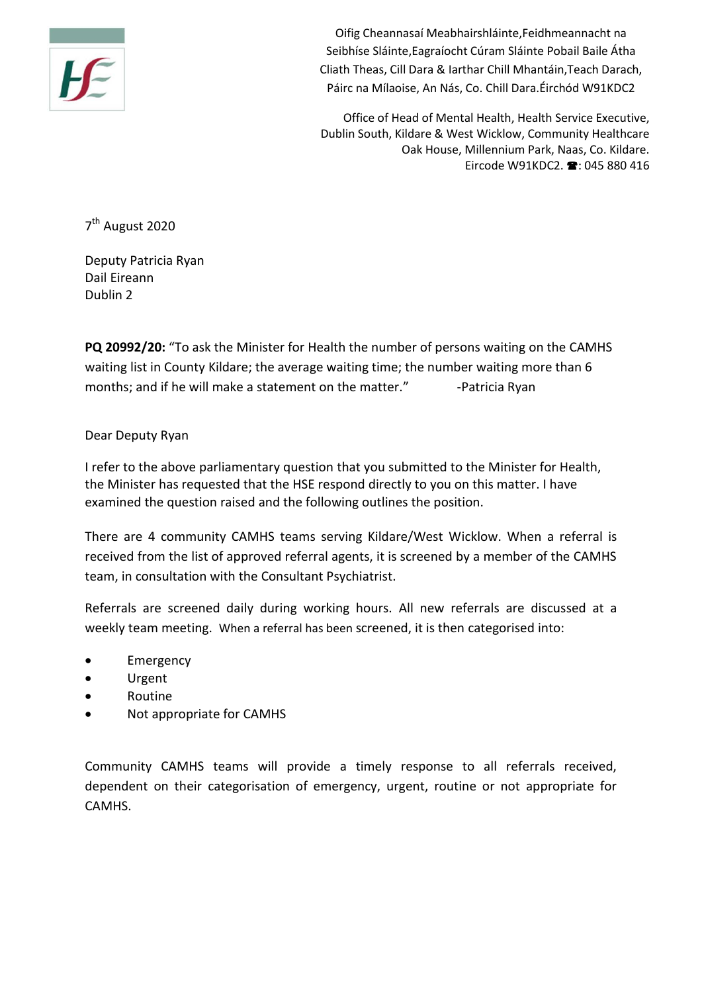

Oifig Cheannasaí Meabhairshláinte,Feidhmeannacht na Seibhíse Sláinte,Eagraíocht Cúram Sláinte Pobail Baile Átha Cliath Theas, Cill Dara & Iarthar Chill Mhantáin,Teach Darach, Páirc na Mílaoise, An Nás, Co. Chill Dara.Éirchód W91KDC2

Office of Head of Mental Health, Health Service Executive, Dublin South, Kildare & West Wicklow, Community Healthcare Oak House, Millennium Park, Naas, Co. Kildare. Eircode W91KDC2.  $\blacksquare$ : 045 880 416

7<sup>th</sup> August 2020

Deputy Patricia Ryan Dail Eireann Dublin 2

**PQ 20992/20:** "To ask the Minister for Health the number of persons waiting on the CAMHS waiting list in County Kildare; the average waiting time; the number waiting more than 6 months: and if he will make a statement on the matter." - Patricia Ryan

## Dear Deputy Ryan

I refer to the above parliamentary question that you submitted to the Minister for Health, the Minister has requested that the HSE respond directly to you on this matter. I have examined the question raised and the following outlines the position.

There are 4 community CAMHS teams serving Kildare/West Wicklow. When a referral is received from the list of approved referral agents, it is screened by a member of the CAMHS team, in consultation with the Consultant Psychiatrist.

Referrals are screened daily during working hours. All new referrals are discussed at a weekly team meeting. When a referral has been screened, it is then categorised into:

- Emergency
- Urgent
- Routine
- Not appropriate for CAMHS

Community CAMHS teams will provide a timely response to all referrals received, dependent on their categorisation of emergency, urgent, routine or not appropriate for CAMHS.